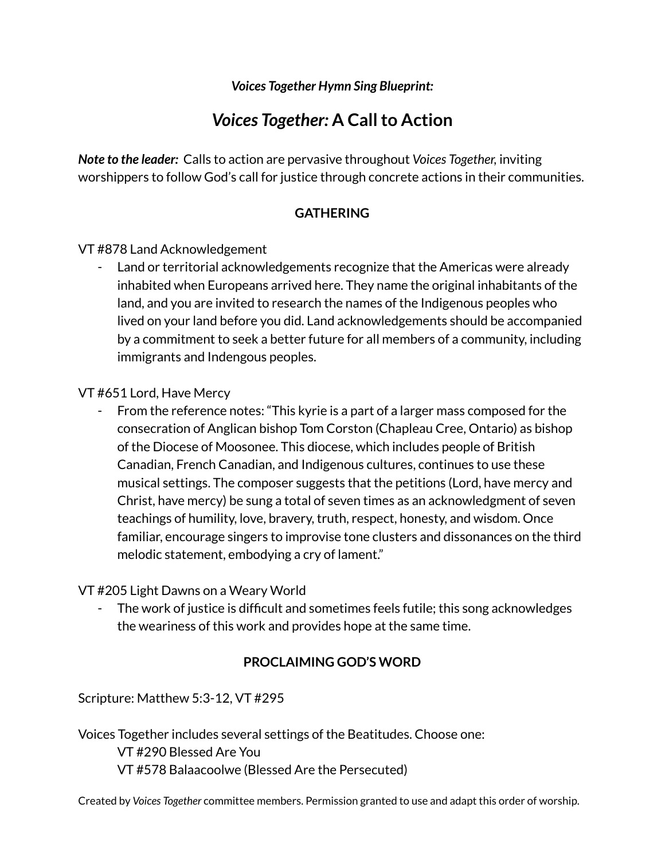*Voices Together Hymn Sing Blueprint:*

# **Voices Together: A Call to Action**

*Note to the leader:* Calls to action are pervasive throughout *Voices Together,* inviting worshippers to follow God's call for justice through concrete actions in their communities.

## **GATHERING**

VT #878 Land Acknowledgement

Land or territorial acknowledgements recognize that the Americas were already inhabited when Europeans arrived here. They name the original inhabitants of the land, and you are invited to research the names of the Indigenous peoples who lived on your land before you did. Land acknowledgements should be accompanied by a commitment to seek a better future for all members of a community, including immigrants and Indengous peoples.

VT #651 Lord, Have Mercy

From the reference notes: "This kyrie is a part of a larger mass composed for the consecration of Anglican bishop Tom Corston (Chapleau Cree, Ontario) as bishop of the Diocese of Moosonee. This diocese, which includes people of British Canadian, French Canadian, and Indigenous cultures, continues to use these musical settings. The composer suggests that the petitions (Lord, have mercy and Christ, have mercy) be sung a total of seven times as an acknowledgment of seven teachings of humility, love, bravery, truth, respect, honesty, and wisdom. Once familiar, encourage singers to improvise tone clusters and dissonances on the third melodic statement, embodying a cry of lament."

#### VT #205 Light Dawns on a Weary World

The work of justice is difficult and sometimes feels futile; this song acknowledges the weariness of this work and provides hope at the same time.

#### **PROCLAIMING GOD'S WORD**

Scripture: Matthew 5:3-12, VT #295

Voices Together includes several settings of the Beatitudes. Choose one: VT #290 Blessed Are You

VT #578 Balaacoolwe (Blessed Are the Persecuted)

Created by *Voices Together* committee members. Permission granted to use and adapt this order of worship.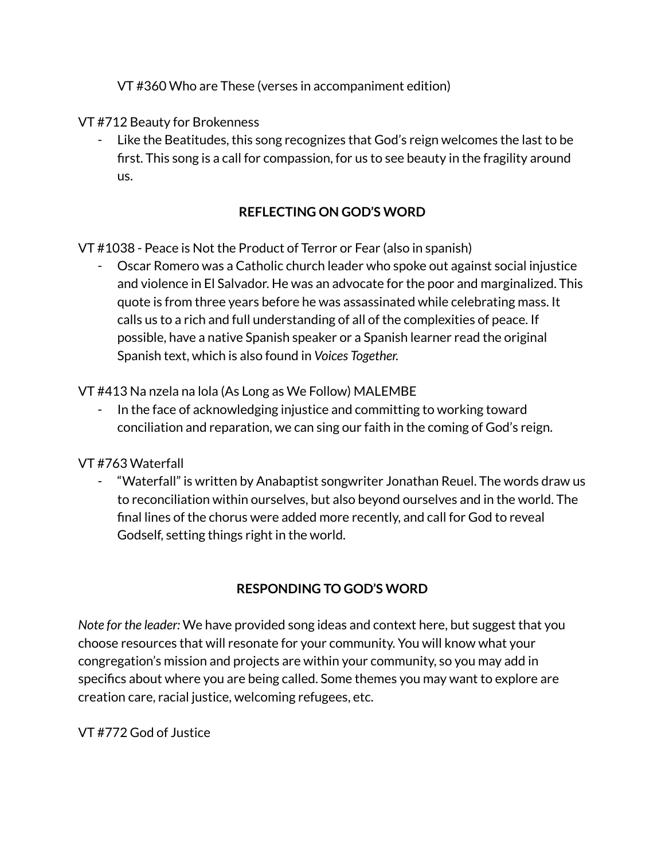VT #360 Who are These (verses in accompaniment edition)

VT #712 Beauty for Brokenness

- Like the Beatitudes, this song recognizes that God's reign welcomes the last to be first. This song is a call for compassion, for us to see beauty in the fragility around us.

# **REFLECTING ON GOD'S WORD**

VT #1038 - Peace is Not the Product of Terror or Fear (also in spanish)

- Oscar Romero was a Catholic church leader who spoke out against social injustice and violence in El Salvador. He was an advocate for the poor and marginalized. This quote is from three years before he was assassinated while celebrating mass. It calls us to a rich and full understanding of all of the complexities of peace. If possible, have a native Spanish speaker or a Spanish learner read the original Spanish text, which is also found in *Voices Together.*

VT #413 Na nzela na lola (As Long as We Follow) MALEMBE

In the face of acknowledging injustice and committing to working toward conciliation and reparation, we can sing our faith in the coming of God's reign.

VT #763 Waterfall

"Waterfall" is written by Anabaptist songwriter Jonathan Reuel. The words draw us to reconciliation within ourselves, but also beyond ourselves and in the world. The final lines of the chorus were added more recently, and call for God to reveal Godself, setting things right in the world.

# **RESPONDING TO GOD'S WORD**

*Note for the leader:* We have provided song ideas and context here, but suggest that you choose resources that will resonate for your community. You will know what your congregation's mission and projects are within your community, so you may add in specifics about where you are being called. Some themes you may want to explore are creation care, racial justice, welcoming refugees, etc.

VT #772 God of Justice